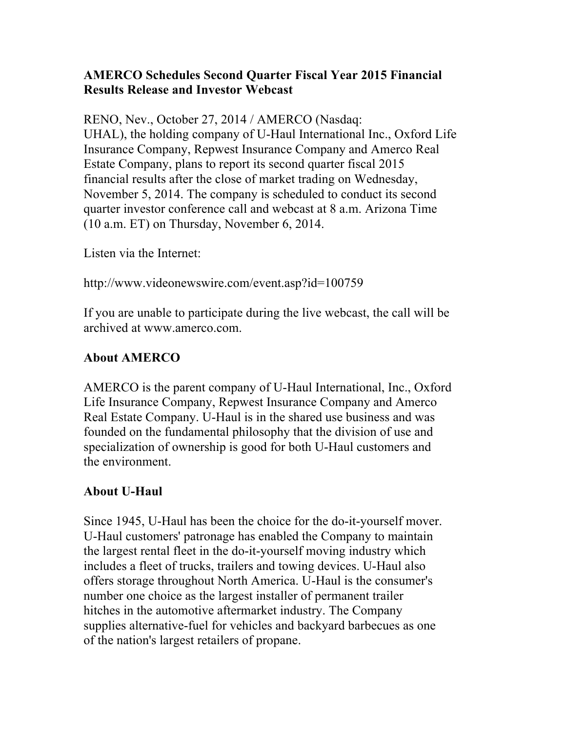## **AMERCO Schedules Second Quarter Fiscal Year 2015 Financial Results Release and Investor Webcast**

RENO, Nev., October 27, 2014 / AMERCO (Nasdaq: UHAL), the holding company of U-Haul International Inc., Oxford Life Insurance Company, Repwest Insurance Company and Amerco Real Estate Company, plans to report its second quarter fiscal 2015 financial results after the close of market trading on Wednesday, November 5, 2014. The company is scheduled to conduct its second quarter investor conference call and webcast at 8 a.m. Arizona Time (10 a.m. ET) on Thursday, November 6, 2014.

Listen via the Internet:

http://www.videonewswire.com/event.asp?id=100759

If you are unable to participate during the live webcast, the call will be archived at www.amerco.com.

## **About AMERCO**

AMERCO is the parent company of U-Haul International, Inc., Oxford Life Insurance Company, Repwest Insurance Company and Amerco Real Estate Company. U-Haul is in the shared use business and was founded on the fundamental philosophy that the division of use and specialization of ownership is good for both U-Haul customers and the environment.

## **About U-Haul**

Since 1945, U-Haul has been the choice for the do-it-yourself mover. U-Haul customers' patronage has enabled the Company to maintain the largest rental fleet in the do-it-yourself moving industry which includes a fleet of trucks, trailers and towing devices. U-Haul also offers storage throughout North America. U-Haul is the consumer's number one choice as the largest installer of permanent trailer hitches in the automotive aftermarket industry. The Company supplies alternative-fuel for vehicles and backyard barbecues as one of the nation's largest retailers of propane.